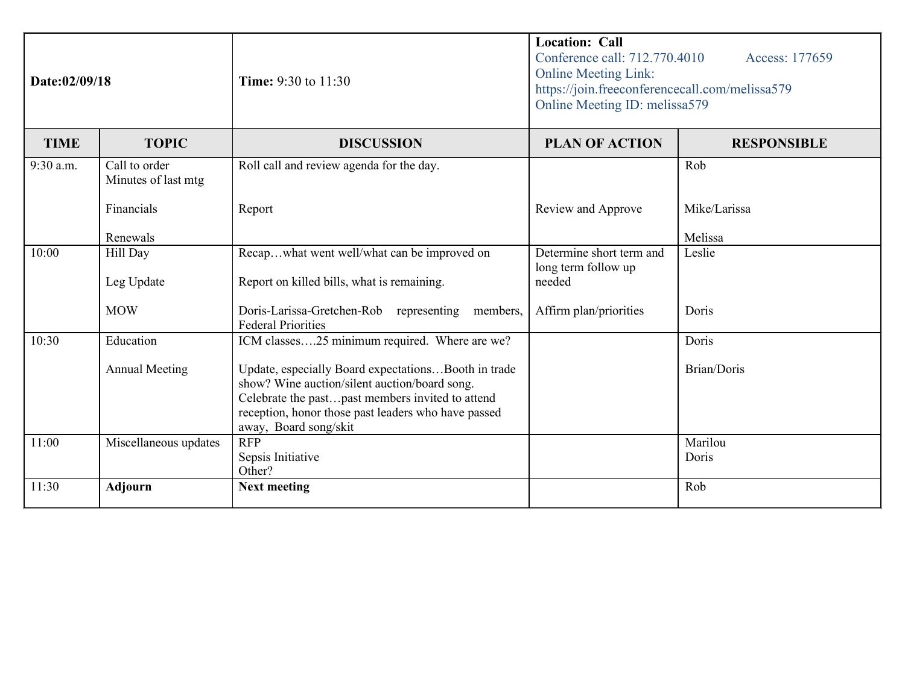| Date:02/09/18 |                                      | <b>Time:</b> 9:30 to 11:30                                                                                                                                                                                                               | <b>Location: Call</b><br>Conference call: 712.770.4010<br>Access: 177659<br><b>Online Meeting Link:</b><br>https://join.freeconferencecall.com/melissa579<br>Online Meeting ID: melissa579 |                    |
|---------------|--------------------------------------|------------------------------------------------------------------------------------------------------------------------------------------------------------------------------------------------------------------------------------------|--------------------------------------------------------------------------------------------------------------------------------------------------------------------------------------------|--------------------|
| <b>TIME</b>   | <b>TOPIC</b>                         | <b>DISCUSSION</b>                                                                                                                                                                                                                        | <b>PLAN OF ACTION</b>                                                                                                                                                                      | <b>RESPONSIBLE</b> |
| 9:30 a.m.     | Call to order<br>Minutes of last mtg | Roll call and review agenda for the day.                                                                                                                                                                                                 |                                                                                                                                                                                            | Rob                |
|               | Financials                           | Report                                                                                                                                                                                                                                   | Review and Approve                                                                                                                                                                         | Mike/Larissa       |
|               | Renewals                             |                                                                                                                                                                                                                                          |                                                                                                                                                                                            | Melissa            |
| 10:00         | Hill Day<br>Leg Update               | Recapwhat went well/what can be improved on<br>Report on killed bills, what is remaining.                                                                                                                                                | Determine short term and<br>long term follow up<br>needed                                                                                                                                  | Leslie             |
|               |                                      |                                                                                                                                                                                                                                          |                                                                                                                                                                                            |                    |
|               | <b>MOW</b>                           | Doris-Larissa-Gretchen-Rob representing members,<br><b>Federal Priorities</b>                                                                                                                                                            | Affirm plan/priorities                                                                                                                                                                     | Doris              |
| 10:30         | Education                            | ICM classes25 minimum required. Where are we?                                                                                                                                                                                            |                                                                                                                                                                                            | Doris              |
|               | <b>Annual Meeting</b>                | Update, especially Board expectationsBooth in trade<br>show? Wine auction/silent auction/board song.<br>Celebrate the pastpast members invited to attend<br>reception, honor those past leaders who have passed<br>away, Board song/skit |                                                                                                                                                                                            | Brian/Doris        |
| 11:00         | Miscellaneous updates                | <b>RFP</b><br>Sepsis Initiative<br>Other?                                                                                                                                                                                                |                                                                                                                                                                                            | Marilou<br>Doris   |
| 11:30         | <b>Adjourn</b>                       | <b>Next meeting</b>                                                                                                                                                                                                                      |                                                                                                                                                                                            | Rob                |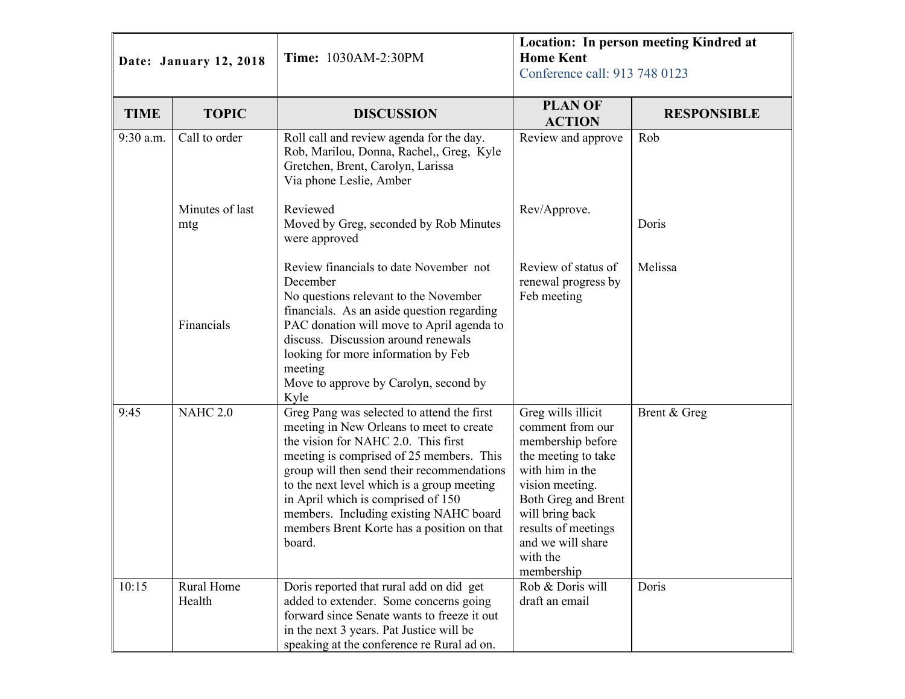| Date: January 12, 2018 |                        | Location: In person meeting Kindred at<br><b>Home Kent</b><br><b>Time: 1030AM-2:30PM</b><br>Conference call: 913 748 0123                                                                                                                                                                                                                                                                                     |                                                                                                                                                                                                                                          |                    |
|------------------------|------------------------|---------------------------------------------------------------------------------------------------------------------------------------------------------------------------------------------------------------------------------------------------------------------------------------------------------------------------------------------------------------------------------------------------------------|------------------------------------------------------------------------------------------------------------------------------------------------------------------------------------------------------------------------------------------|--------------------|
| <b>TIME</b>            | <b>TOPIC</b>           | <b>DISCUSSION</b>                                                                                                                                                                                                                                                                                                                                                                                             | <b>PLAN OF</b><br><b>ACTION</b>                                                                                                                                                                                                          | <b>RESPONSIBLE</b> |
| 9:30 a.m.              | Call to order          | Roll call and review agenda for the day.<br>Rob, Marilou, Donna, Rachel,, Greg, Kyle<br>Gretchen, Brent, Carolyn, Larissa<br>Via phone Leslie, Amber                                                                                                                                                                                                                                                          | Review and approve                                                                                                                                                                                                                       | Rob                |
|                        | Minutes of last<br>mtg | Reviewed<br>Moved by Greg, seconded by Rob Minutes<br>were approved                                                                                                                                                                                                                                                                                                                                           | Rev/Approve.                                                                                                                                                                                                                             | Doris              |
|                        | Financials             | Review financials to date November not<br>December<br>No questions relevant to the November<br>financials. As an aside question regarding<br>PAC donation will move to April agenda to<br>discuss. Discussion around renewals<br>looking for more information by Feb<br>meeting<br>Move to approve by Carolyn, second by<br>Kyle                                                                              | Review of status of<br>renewal progress by<br>Feb meeting                                                                                                                                                                                | Melissa            |
| 9:45                   | <b>NAHC 2.0</b>        | Greg Pang was selected to attend the first<br>meeting in New Orleans to meet to create<br>the vision for NAHC 2.0. This first<br>meeting is comprised of 25 members. This<br>group will then send their recommendations<br>to the next level which is a group meeting<br>in April which is comprised of 150<br>members. Including existing NAHC board<br>members Brent Korte has a position on that<br>board. | Greg wills illicit<br>comment from our<br>membership before<br>the meeting to take<br>with him in the<br>vision meeting.<br>Both Greg and Brent<br>will bring back<br>results of meetings<br>and we will share<br>with the<br>membership | Brent & Greg       |
| 10:15                  | Rural Home<br>Health   | Doris reported that rural add on did get<br>added to extender. Some concerns going<br>forward since Senate wants to freeze it out<br>in the next 3 years. Pat Justice will be<br>speaking at the conference re Rural ad on.                                                                                                                                                                                   | Rob & Doris will<br>draft an email                                                                                                                                                                                                       | Doris              |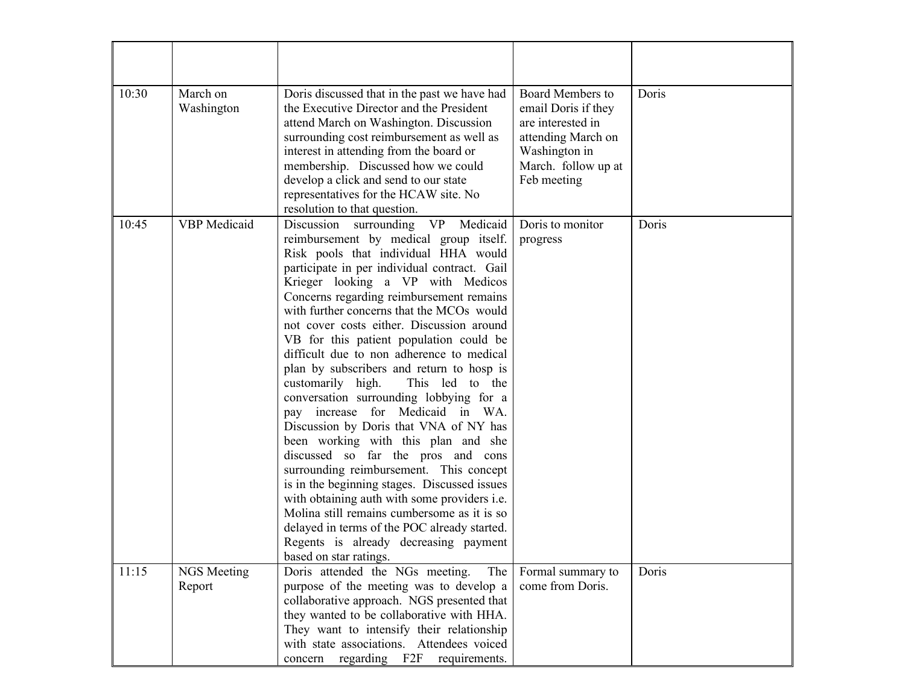| 10:30 | March on<br>Washington | Doris discussed that in the past we have had<br>the Executive Director and the President<br>attend March on Washington. Discussion<br>surrounding cost reimbursement as well as<br>interest in attending from the board or<br>membership. Discussed how we could<br>develop a click and send to our state<br>representatives for the HCAW site. No<br>resolution to that question.                                                                                                                                                                                                                                                                                                                                                                                                                                                                                                                                                                                                                                                                 | <b>Board Members to</b><br>email Doris if they<br>are interested in<br>attending March on<br>Washington in<br>March. follow up at<br>Feb meeting | Doris |
|-------|------------------------|----------------------------------------------------------------------------------------------------------------------------------------------------------------------------------------------------------------------------------------------------------------------------------------------------------------------------------------------------------------------------------------------------------------------------------------------------------------------------------------------------------------------------------------------------------------------------------------------------------------------------------------------------------------------------------------------------------------------------------------------------------------------------------------------------------------------------------------------------------------------------------------------------------------------------------------------------------------------------------------------------------------------------------------------------|--------------------------------------------------------------------------------------------------------------------------------------------------|-------|
| 10:45 | <b>VBP</b> Medicaid    | VP Medicaid<br>Discussion surrounding<br>reimbursement by medical group itself.<br>Risk pools that individual HHA would<br>participate in per individual contract. Gail<br>Krieger looking a VP with Medicos<br>Concerns regarding reimbursement remains<br>with further concerns that the MCOs would<br>not cover costs either. Discussion around<br>VB for this patient population could be<br>difficult due to non adherence to medical<br>plan by subscribers and return to hosp is<br>customarily high.<br>This led to the<br>conversation surrounding lobbying for a<br>pay increase for Medicaid in WA.<br>Discussion by Doris that VNA of NY has<br>been working with this plan and she<br>discussed so far the pros and cons<br>surrounding reimbursement. This concept<br>is in the beginning stages. Discussed issues<br>with obtaining auth with some providers i.e.<br>Molina still remains cumbersome as it is so<br>delayed in terms of the POC already started.<br>Regents is already decreasing payment<br>based on star ratings. | Doris to monitor<br>progress                                                                                                                     | Doris |
| 11:15 | NGS Meeting<br>Report  | Doris attended the NGs meeting.<br>The<br>purpose of the meeting was to develop a<br>collaborative approach. NGS presented that<br>they wanted to be collaborative with HHA.<br>They want to intensify their relationship<br>with state associations. Attendees voiced<br>concern regarding F2F<br>requirements.                                                                                                                                                                                                                                                                                                                                                                                                                                                                                                                                                                                                                                                                                                                                   | Formal summary to<br>come from Doris.                                                                                                            | Doris |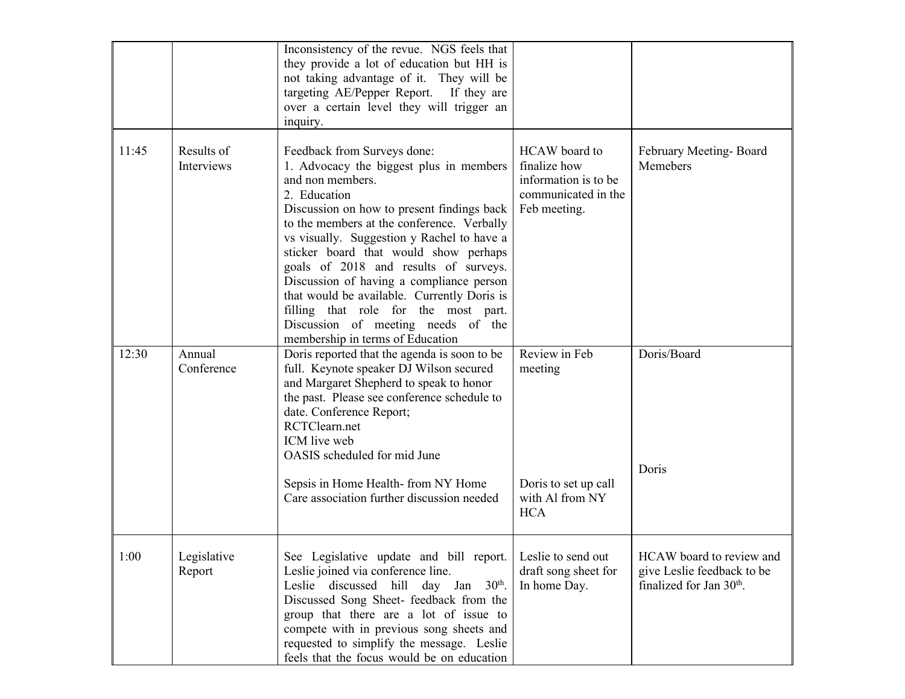|       |                          | Inconsistency of the revue. NGS feels that<br>they provide a lot of education but HH is<br>not taking advantage of it. They will be<br>targeting AE/Pepper Report. If they are<br>over a certain level they will trigger an<br>inquiry.                                                                                                                                                                                                                                                                                                             |                                                                                              |                                                                                                |
|-------|--------------------------|-----------------------------------------------------------------------------------------------------------------------------------------------------------------------------------------------------------------------------------------------------------------------------------------------------------------------------------------------------------------------------------------------------------------------------------------------------------------------------------------------------------------------------------------------------|----------------------------------------------------------------------------------------------|------------------------------------------------------------------------------------------------|
| 11:45 | Results of<br>Interviews | Feedback from Surveys done:<br>1. Advocacy the biggest plus in members<br>and non members.<br>2. Education<br>Discussion on how to present findings back<br>to the members at the conference. Verbally<br>vs visually. Suggestion y Rachel to have a<br>sticker board that would show perhaps<br>goals of 2018 and results of surveys.<br>Discussion of having a compliance person<br>that would be available. Currently Doris is<br>filling that role for the most part.<br>Discussion of meeting needs of the<br>membership in terms of Education | HCAW board to<br>finalize how<br>information is to be<br>communicated in the<br>Feb meeting. | February Meeting-Board<br>Memebers                                                             |
| 12:30 | Annual<br>Conference     | Doris reported that the agenda is soon to be<br>full. Keynote speaker DJ Wilson secured<br>and Margaret Shepherd to speak to honor<br>the past. Please see conference schedule to<br>date. Conference Report;<br>RCTClearn.net<br>ICM live web<br>OASIS scheduled for mid June<br>Sepsis in Home Health-from NY Home<br>Care association further discussion needed                                                                                                                                                                                  | Review in Feb<br>meeting<br>Doris to set up call<br>with Al from NY<br><b>HCA</b>            | Doris/Board<br>Doris                                                                           |
| 1:00  | Legislative<br>Report    | See Legislative update and bill report.<br>Leslie joined via conference line.<br>$30th$ .<br>Leslie discussed hill day Jan<br>Discussed Song Sheet- feedback from the<br>group that there are a lot of issue to<br>compete with in previous song sheets and<br>requested to simplify the message. Leslie<br>feels that the focus would be on education                                                                                                                                                                                              | Leslie to send out<br>draft song sheet for<br>In home Day.                                   | HCAW board to review and<br>give Leslie feedback to be<br>finalized for Jan 30 <sup>th</sup> . |